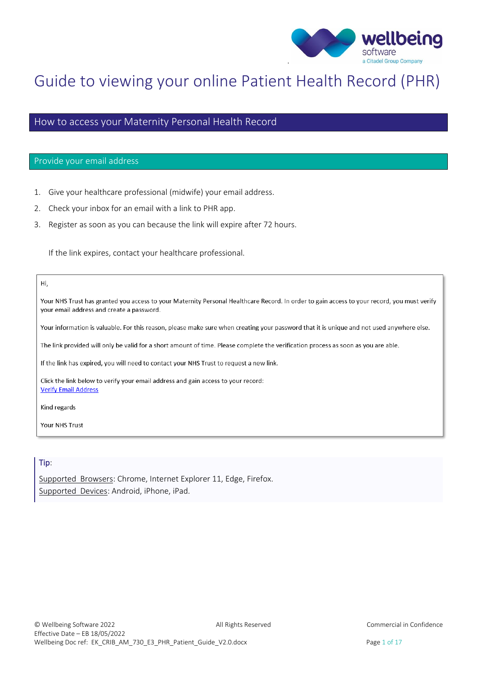

# Guide to viewing your online Patient Health Record (PHR)

### How to access your Maternity Personal Health Record

### Provide your email address

- 1. Give your healthcare professional (midwife) your email address.
- 2. Check your inbox for an email with a link to PHR app.
- 3. Register as soon as you can because the link will expire after 72 hours.

If the link expires, contact your healthcare professional.

### Hi,

Your NHS Trust has granted you access to your Maternity Personal Healthcare Record. In order to gain access to your record, you must verify your email address and create a password.

Your information is valuable. For this reason, please make sure when creating your password that it is unique and not used anywhere else.

The link provided will only be valid for a short amount of time. Please complete the verification process as soon as you are able.

If the link has expired, you will need to contact your NHS Trust to request a new link.

Click the link below to verify your email address and gain access to your record: **Verify Email Address** 

Kind regards

Your NHS Trust

### Tip:

Supported Browsers: Chrome, Internet Explorer 11, Edge, Firefox. Supported Devices: Android, iPhone, iPad.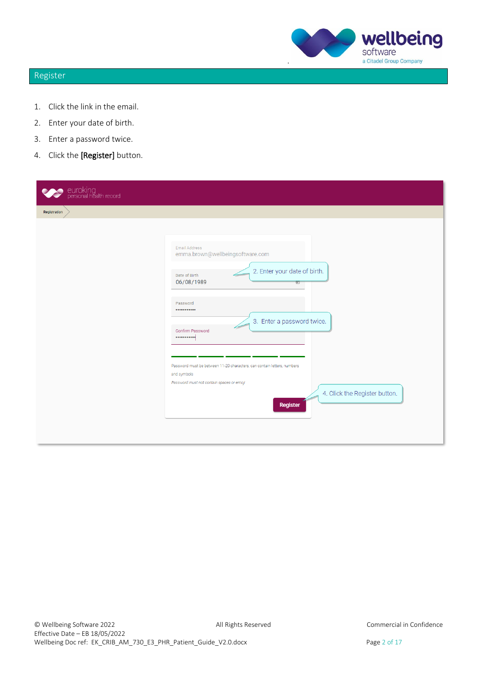

# Register

- 1. Click the link in the email.
- 2. Enter your date of birth.
- 3. Enter a password twice.
- 4. Click the [Register] button.

| euroking<br>personal health record |                                                                                                                                                                                                                                                                                                                                                                                              |
|------------------------------------|----------------------------------------------------------------------------------------------------------------------------------------------------------------------------------------------------------------------------------------------------------------------------------------------------------------------------------------------------------------------------------------------|
| Registration                       |                                                                                                                                                                                                                                                                                                                                                                                              |
|                                    | Email Address<br>emma.brown@wellbeingsoftware.com<br>2. Enter your date of birth.<br>Date of Birth<br>⇐<br>06/08/1989<br>$\boxdot$<br>Password<br><br>3. Enter a password twice.<br>Confirm Password<br><br>Password must be between 11-20 characters, can contain letters, numbers<br>and symbols<br>Password must not contain spaces or emoji<br>4. Click the Register button.<br>Register |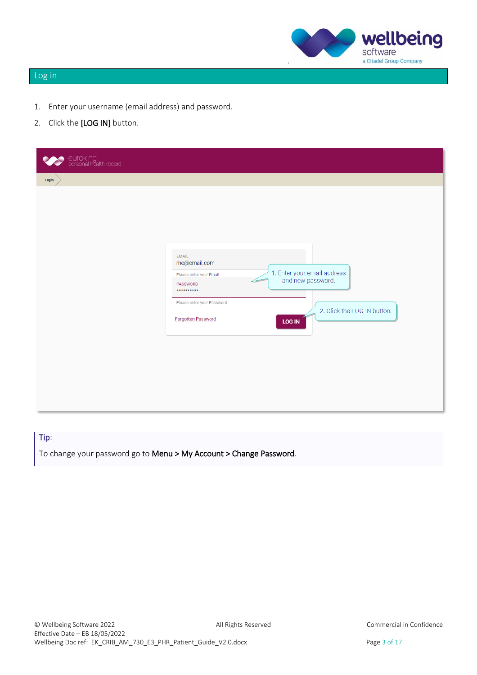

# Log in

- 1. Enter your username (email address) and password.
- 2. Click the [LOG IN] button.

| euroking<br>personal health record |                                                                                                                             |                                                                                                  |
|------------------------------------|-----------------------------------------------------------------------------------------------------------------------------|--------------------------------------------------------------------------------------------------|
| Login                              |                                                                                                                             |                                                                                                  |
|                                    | EMAIL<br>me@email.com<br>Please enter your Email<br>PASSWORD<br><br>Please enter your Password<br><b>Forgotten Password</b> | 1. Enter your email address<br>and new password.<br>2. Click the LOG IN button.<br><b>LOG IN</b> |

Tip: To change your password go to Menu > My Account > Change Password.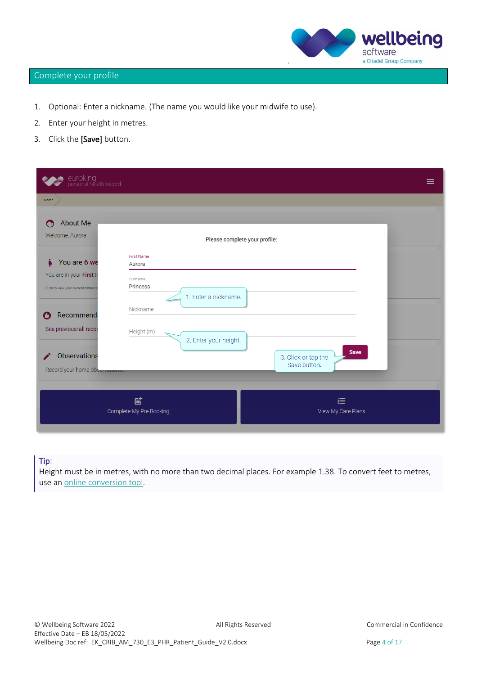

# Complete your profile

- 1. Optional: Enter a nickname. (The name you would like your midwife to use).
- 2. Enter your height in metres.
- 3. Click the [Save] button.

| euroking<br>personal health record                              |                              |                                             | ≡ |
|-----------------------------------------------------------------|------------------------------|---------------------------------------------|---|
| Home                                                            |                              |                                             |   |
| <b>About Me</b><br>⊙<br>Welcome, Aurora                         |                              | Please complete your profile:               |   |
| You are 6 we<br>Å                                               | First Name<br>Aurora         |                                             |   |
| You are in your First tr<br>Click to view your current trimeste | Surname<br>Princess          | 1. Enter a nickname.                        |   |
| Recommend                                                       | Nickname                     |                                             |   |
| See previous/all recor                                          | Height (m)                   | 2. Enter your height.                       |   |
| Observations<br>Record your home observations.                  |                              | Save<br>3. Click or tap the<br>Save button. |   |
|                                                                 | 固<br>Complete My Pre Booking | 這<br>View My Care Plans                     |   |

### Tip:

Height must be in metres, with no more than two decimal places. For example 1.38. To convert feet to metres, use an [online conversion tool.](https://www.metric-conversions.org/length/feet-to-meters.htm)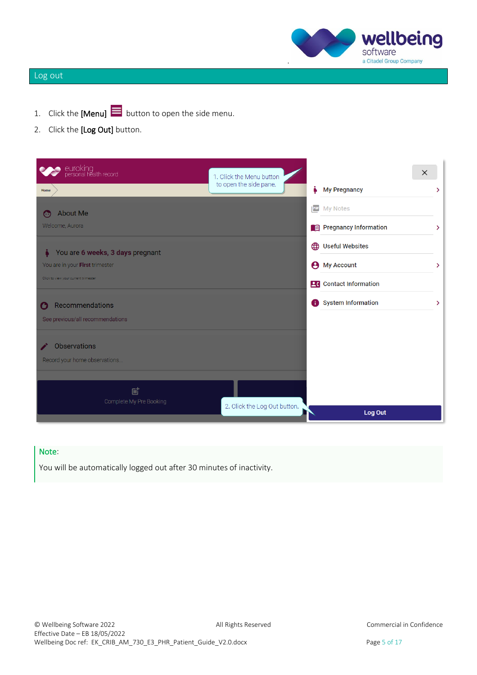

# Log out

- 1. Click the [Menu]  $\equiv$  button to open the side menu.
- 2. Click the [Log Out] button.

| euroking<br>personal health record   | 1. Click the Menu button     |                                | $\times$ |
|--------------------------------------|------------------------------|--------------------------------|----------|
| Home                                 | to open the side pane.       | i<br><b>My Pregnancy</b>       | ⋗        |
| <b>About Me</b><br>⊙                 |                              | <b>PE</b> My Notes             |          |
| Welcome, Aurora                      |                              | Pregnancy Information          | ≻        |
| You are 6 weeks, 3 days pregnant     |                              | (b) Useful Websites            |          |
| You are in your First trimester      |                              | <b>My Account</b><br>Θ         | ⋗        |
| Click to view your current trimester |                              | <b>26</b> Contact Information  |          |
| Recommendations                      |                              | <b>System Information</b><br>Ð | ⋗        |
| See previous/all recommendations     |                              |                                |          |
| <b>Observations</b>                  |                              |                                |          |
| Record your home observations        |                              |                                |          |
|                                      |                              |                                |          |
| 固                                    |                              |                                |          |
| Complete My Pre Booking              | 2. Click the Log Out button. | Log Out                        |          |

### Note:

You will be automatically logged out after 30 minutes of inactivity.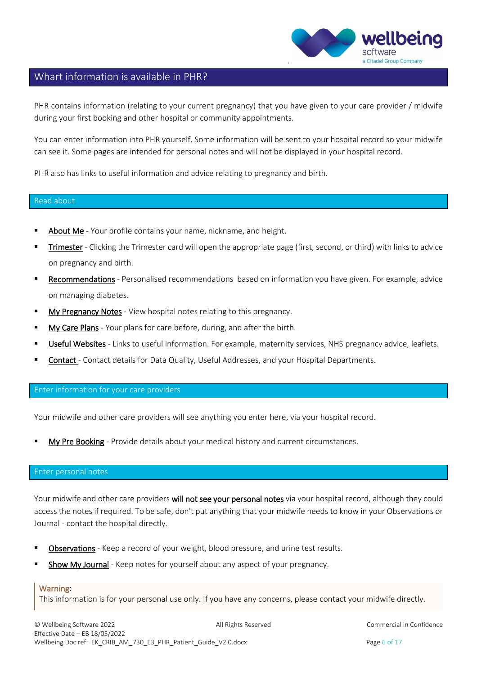

# Whart information is available in PHR?

PHR contains information (relating to your current pregnancy) that you have given to your care provider / midwife during your first booking and other hospital or community appointments.

You can enter information into PHR yourself. Some information will be sent to your hospital record so your midwife can see it. Some pages are intended for personal notes and will not be displayed in your hospital record.

PHR also has links to useful information and advice relating to pregnancy and birth.

#### Read about

- About Me Your profile contains your name, nickname, and height.
- **Trimester** Clicking the Trimester card will open the appropriate page (first, second, or third) with links to advice on pregnancy and birth.
- Recommendations Personalised recommendations based on information you have given. For example, advice on managing diabetes.
- **■** My Pregnancy Notes View hospital notes relating to this pregnancy.
- **I** My Care Plans Your plans for care before, during, and after the birth.
- **EXECT USEFUL Websites** Links to useful information. For example, maternity services, NHS pregnancy advice, leaflets.
- Contact Contact details for Data Quality, Useful Addresses, and your Hospital Departments.

### Enter information for your care providers

Your midwife and other care providers will see anything you enter here, via your hospital record.

My Pre Booking - Provide details about your medical history and current circumstances.

### Enter personal notes

Your midwife and other care providers will not see your personal notes via your hospital record, although they could access the notes if required. To be safe, don't put anything that your midwife needs to know in your Observations or Journal - contact the hospital directly.

- Observations Keep a record of your weight, blood pressure, and urine test results.
- Show My Journal Keep notes for yourself about any aspect of your pregnancy.

### Warning:

This information is for your personal use only. If you have any concerns, please contact your midwife directly.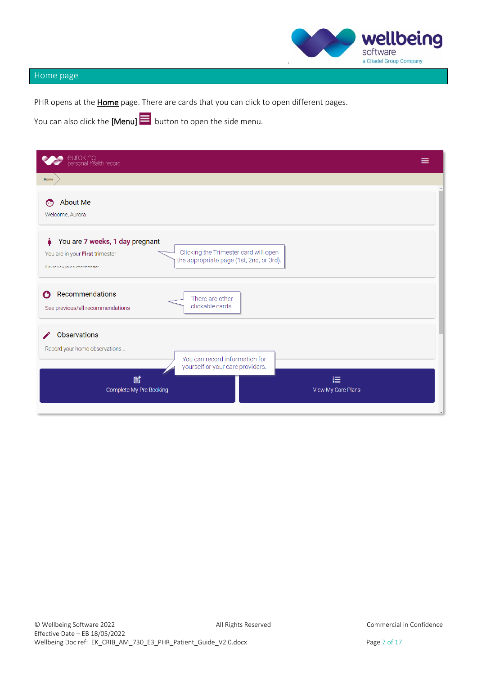

# Home page

PHR opens at the **Home** page. There are cards that you can click to open different pages.

You can also click the [Menu]  $\equiv$  button to open the side menu.

| euroking<br>personal health record                                                                                                                                                              | = |
|-------------------------------------------------------------------------------------------------------------------------------------------------------------------------------------------------|---|
| Home                                                                                                                                                                                            |   |
| <b>About Me</b><br>⊙<br>Welcome, Aurora                                                                                                                                                         |   |
| You are 7 weeks, 1 day pregnant<br>Clicking the Trimester card will open<br>You are in your First trimester<br>the appropriate page (1st, 2nd, or 3rd).<br>Click to view your current trimester |   |
| Recommendations<br>O<br>There are other<br>clickable cards.<br>See previous/all recommendations                                                                                                 |   |
| <b>Observations</b><br>Record your home observations<br>You can record information for<br>yourself or your care providers.                                                                      |   |
| 固<br>這<br>Complete My Pre Booking<br>View My Care Plans                                                                                                                                         |   |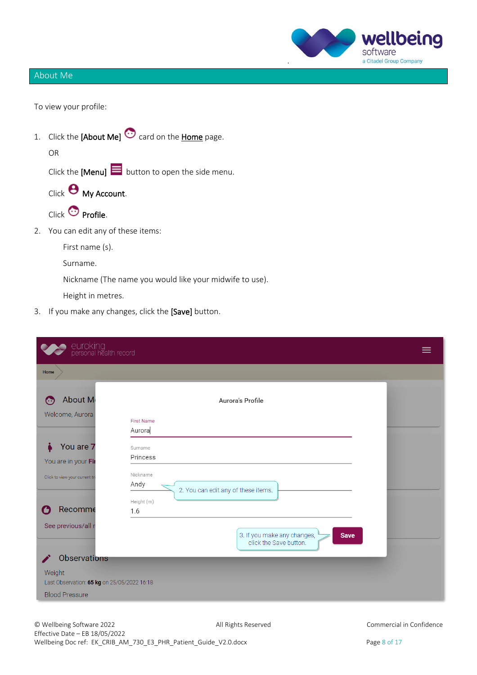

# About Me

To view your profile:

1. Click the  $[About Me]$  card on the *Home* page. OR Click the [Menu]  $\equiv$  button to open the side menu.

Click **O** My Account.

Click <sup>C</sup>Profile.

2. You can edit any of these items:

First name (s).

Surname.

Nickname (The name you would like your midwife to use).

Height in metres.

3. If you make any changes, click the [Save] button.

| euroking<br>personal health record                    |                                                                      |  |
|-------------------------------------------------------|----------------------------------------------------------------------|--|
| Home                                                  |                                                                      |  |
| About M<br>⊙                                          | Aurora's Profile                                                     |  |
| Welcome, Aurora                                       | <b>First Name</b><br>Aurora                                          |  |
| You are 7<br>You are in your Fir                      | Surname<br>Princess                                                  |  |
| Click to view your current tri                        | Nickname<br>Andy<br>2. You can edit any of these items.              |  |
| Recomme<br>O                                          | Height (m)<br>1.6                                                    |  |
| See previous/all r                                    | 3. If you make any changes,<br><b>Save</b><br>click the Save button. |  |
| <b>Observations</b>                                   |                                                                      |  |
| Weight<br>Last Observation: 65 kg on 25/05/2022 16:18 |                                                                      |  |
| <b>Blood Pressure</b>                                 |                                                                      |  |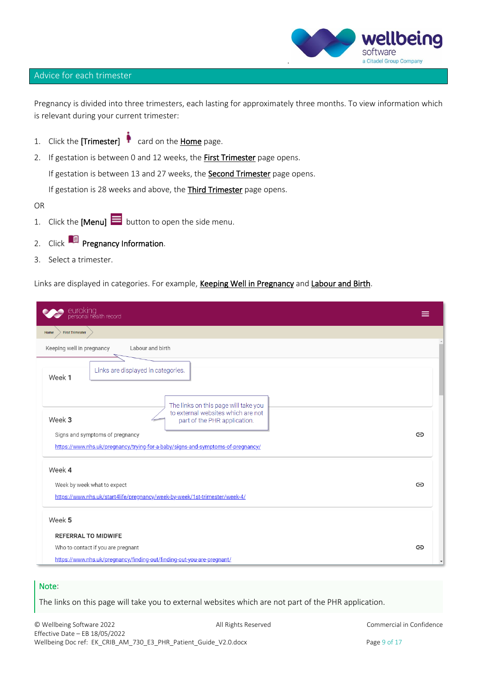

### Advice for each trimester

Pregnancy is divided into three trimesters, each lasting for approximately three months. To view information which is relevant during your current trimester:

- 1. Click the [Trimester]  $\bullet$  card on the Home page.
- 2. If gestation is between 0 and 12 weeks, the **First Trimester** page opens.

If gestation is between 13 and 27 weeks, the **Second Trimester** page opens.

If gestation is 28 weeks and above, the Third Trimester page opens.

OR

- 1. Click the [Menu]  $\blacksquare$  button to open the side menu.
- 2. Click **P** Pregnancy Information.
- 3. Select a trimester.

Links are displayed in categories. For example, Keeping Well in Pregnancy and Labour and Birth.

| euroking<br>personal health record                                                                                                                                                                                                         | ≡ |
|--------------------------------------------------------------------------------------------------------------------------------------------------------------------------------------------------------------------------------------------|---|
| <b>First Trimester</b><br>Home                                                                                                                                                                                                             |   |
| Keeping well in pregnancy<br>Labour and birth                                                                                                                                                                                              |   |
| Links are displayed in categories.<br>Week 1                                                                                                                                                                                               |   |
| The links on this page will take you<br>to external websites which are not<br>Week 3<br>part of the PHR application.<br>Signs and symptoms of pregnancy<br>https://www.nhs.uk/pregnancy/trying-for-a-baby/signs-and-symptoms-of-pregnancy/ | G |
| Week 4<br>Week by week what to expect<br>https://www.nhs.uk/start4life/pregnancy/week-by-week/1st-trimester/week-4/                                                                                                                        | ⊖ |
| Week 5                                                                                                                                                                                                                                     |   |
| <b>REFERRAL TO MIDWIFE</b>                                                                                                                                                                                                                 |   |
| Who to contact if you are pregnant<br>https://www.nhs.uk/pregnancy/finding-out/finding-out-you-are-pregnant/                                                                                                                               | ⊖ |

### Note:

The links on this page will take you to external websites which are not part of the PHR application.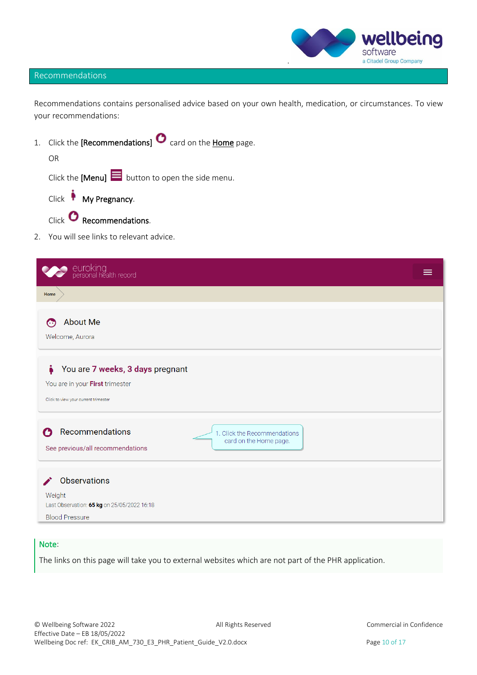

### Recommendations

Recommendations contains personalised advice based on your own health, medication, or circumstances. To view your recommendations:

1. Click the [Recommendations]  $\bullet$  card on the Home page.

OR

Click the [Menu]  $\blacksquare$  button to open the side menu.

Click **My Pregnancy**.

- Click **C** Recommendations.
- 2. You will see links to relevant advice.

| euroking<br>personal health record                                                                                 |  |
|--------------------------------------------------------------------------------------------------------------------|--|
| Home                                                                                                               |  |
| <b>About Me</b><br>↔<br>Welcome, Aurora                                                                            |  |
| i.<br>You are 7 weeks, 3 days pregnant<br>You are in your First trimester<br>Click to view your current trimester  |  |
| Recommendations<br>7<br>1. Click the Recommendations<br>card on the Home page.<br>See previous/all recommendations |  |
| Observations<br>Weight<br>Last Observation: 65 kg on 25/05/2022 16:18<br><b>Blood Pressure</b>                     |  |

### Note:

The links on this page will take you to external websites which are not part of the PHR application.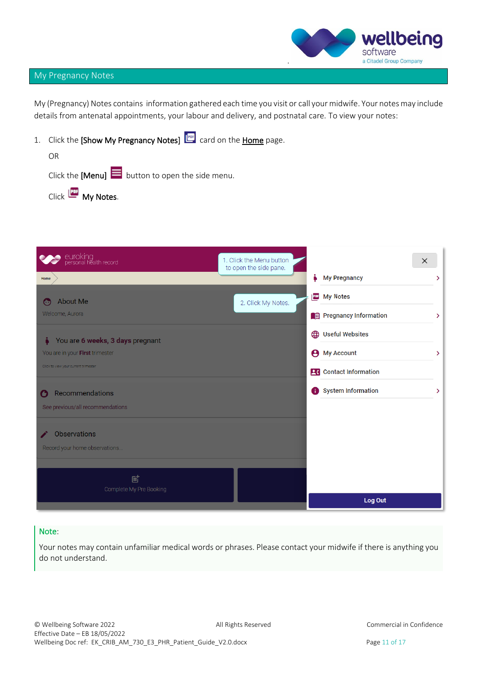

### My Pregnancy Notes

My (Pregnancy) Notes contains information gathered each time you visit or call your midwife. Your notes may include details from antenatal appointments, your labour and delivery, and postnatal care. To view your notes:

1. Click the [Show My Pregnancy Notes] **card on the Home** page.

| OR                                                            |  |
|---------------------------------------------------------------|--|
| Click the [Menu] $\blacksquare$ button to open the side menu. |  |
| Click <b>Les</b> My Notes.                                    |  |

| euroking<br>personal health record            | 1. Click the Menu button<br>to open the side pane. |   |                               | $\times$ |   |
|-----------------------------------------------|----------------------------------------------------|---|-------------------------------|----------|---|
| Home                                          |                                                    | i | <b>My Pregnancy</b>           |          | ⋗ |
| <b>About Me</b><br>⊙                          | 2. Click My Notes.                                 |   | My Notes                      |          |   |
| Welcome, Aurora                               |                                                    |   | Pregnancy Information         |          | ≻ |
| You are 6 weeks, 3 days pregnant              |                                                    |   | (D) Useful Websites           |          |   |
| You are in your First trimester               |                                                    | Θ | <b>My Account</b>             |          | ↘ |
| Click to view your current trimester          |                                                    |   | <b>26</b> Contact Information |          |   |
| Recommendations<br>٠                          |                                                    | A | <b>System Information</b>     |          | ≻ |
| See previous/all recommendations              |                                                    |   |                               |          |   |
| Observations<br>Record your home observations |                                                    |   |                               |          |   |
|                                               |                                                    |   |                               |          |   |
| 尀<br>Complete My Pre Booking                  |                                                    |   |                               |          |   |
|                                               |                                                    |   | Log Out                       |          |   |

### Note:

Your notes may contain unfamiliar medical words or phrases. Please contact your midwife if there is anything you do not understand.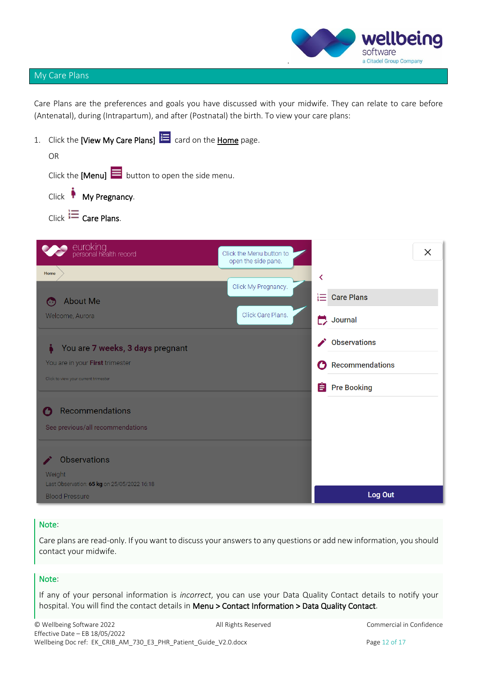

# My Care Plans

Care Plans are the preferences and goals you have discussed with your midwife. They can relate to care before (Antenatal), during (Intrapartum), and after (Postnatal) the birth. To view your care plans:

| 1. Click the [View My Care Plans] $\mathbf{E}$ card on the Home page. |                                                 |    |                      |          |
|-----------------------------------------------------------------------|-------------------------------------------------|----|----------------------|----------|
| OR                                                                    |                                                 |    |                      |          |
| Click the [Menu] $\blacksquare$ button to open the side menu.         |                                                 |    |                      |          |
| Click My Pregnancy.                                                   |                                                 |    |                      |          |
| Click $\equiv$ Care Plans.                                            |                                                 |    |                      |          |
|                                                                       |                                                 |    |                      |          |
| euroking<br>personal health record                                    | Click the Menu button to<br>open the side pane. |    |                      | $\times$ |
| Home                                                                  |                                                 | ∢  |                      |          |
| <b>About Me</b><br>o a                                                | Click My Pregnancy.                             | 這  | <b>Care Plans</b>    |          |
| Welcome, Aurora                                                       | Click Care Plans.                               | Г. | Journal              |          |
| You are 7 weeks, 3 days pregnant                                      |                                                 |    | <b>Observations</b>  |          |
| You are in your First trimester                                       |                                                 |    | Recommendations      |          |
| Click to view your current trimester                                  |                                                 |    | <b>E</b> Pre Booking |          |
|                                                                       |                                                 |    |                      |          |
| Recommendations<br>ъ                                                  |                                                 |    |                      |          |
| See previous/all recommendations                                      |                                                 |    |                      |          |
|                                                                       |                                                 |    |                      |          |
| <b>Observations</b>                                                   |                                                 |    |                      |          |
| Weight<br>Last Observation: 65 kg on 25/05/2022 16:18                 |                                                 |    |                      |          |
| <b>Blood Pressure</b>                                                 |                                                 |    | Log Out              |          |

# Note:

Care plans are read-only. If you want to discuss your answers to any questions or add new information, you should contact your midwife.

### Note:

If any of your personal information is *incorrect*, you can use your Data Quality Contact details to notify your hospital. You will find the contact details in Menu > Contact Information > Data Quality Contact.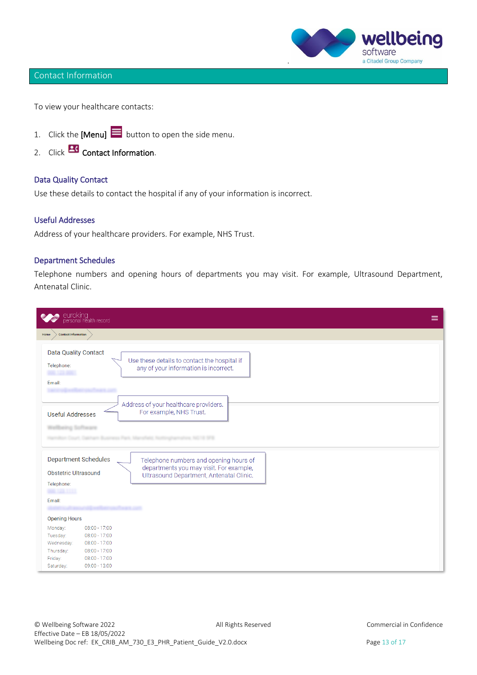### wellbeing software a Citadel Group Company .

# Contact Information

To view your healthcare contacts:

- 1. Click the [Menu]  $\equiv$  button to open the side menu.
- 2. Click **2.** Contact Information.

### Data Quality Contact

Use these details to contact the hospital if any of your information is incorrect.

### Useful Addresses

Address of your healthcare providers. For example, NHS Trust.

### Department Schedules

Telephone numbers and opening hours of departments you may visit. For example, Ultrasound Department, Antenatal Clinic.

| euroking<br>personal health record<br>M                                                                                                                                                                      |                                                                                                                               | ≡ |
|--------------------------------------------------------------------------------------------------------------------------------------------------------------------------------------------------------------|-------------------------------------------------------------------------------------------------------------------------------|---|
| <b>Contact Information</b><br>Home                                                                                                                                                                           |                                                                                                                               |   |
| Data Quality Contact<br>Telephone:<br>Email:                                                                                                                                                                 | Use these details to contact the hospital if<br>any of your information is incorrect.                                         |   |
| <b>Useful Addresses</b><br><b>SERVICE</b>                                                                                                                                                                    | Address of your healthcare providers.<br>For example, NHS Trust.<br>ALL TAXTO gifts in all to \$1.00 per                      |   |
| <b>Department Schedules</b><br><b>Obstetric Ultrasound</b><br>Telephone:<br>Email:                                                                                                                           | Telephone numbers and opening hours of<br>departments you may visit. For example,<br>Ultrasound Department, Antenatal Clinic. |   |
| <b>Opening Hours</b><br>08:00 - 17:00<br>Monday:<br>$08:00 - 17:00$<br>Tuesday:<br>$08:00 - 17:00$<br>Wednesday:<br>$08:00 - 17:00$<br>Thursday:<br>Friday:<br>$08:00 - 17:00$<br>Saturday:<br>09:00 - 13:00 |                                                                                                                               |   |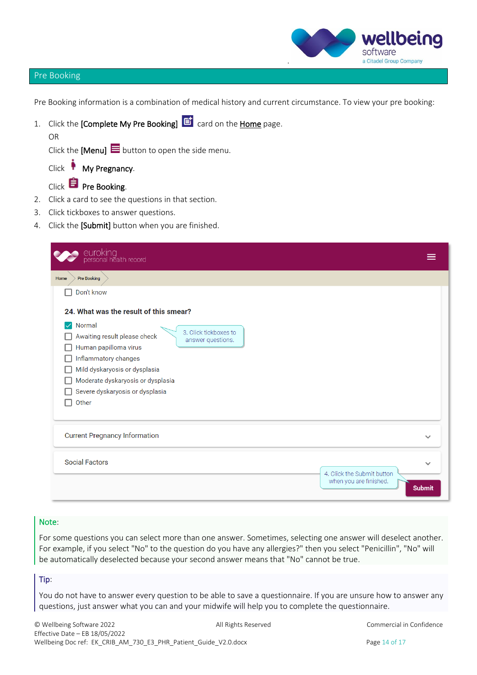

### Pre Booking

OR

Pre Booking information is a combination of medical history and current circumstance. To view your pre booking:

1. Click the **[Complete My Pre Booking] lai** card on the **Home** page.

Click the [Menu]  $\equiv$  button to open the side menu.

| Click |  | My Pregnancy. |
|-------|--|---------------|
|-------|--|---------------|

# $Click$  **Pre Booking.**

×

- 2. Click a card to see the questions in that section.
- 3. Click tickboxes to answer questions.
- 4. Click the [Submit] button when you are finished.

| euroking<br>personal health record                |               |
|---------------------------------------------------|---------------|
| <b>Pre Booking</b><br>Home                        |               |
| Don't know                                        |               |
| 24. What was the result of this smear?            |               |
| Normal<br>$\checkmark$<br>3. Click tickboxes to   |               |
| Awaiting result please check<br>answer questions. |               |
| Human papilloma virus                             |               |
| Inflammatory changes                              |               |
| Mild dyskaryosis or dysplasia                     |               |
| Moderate dyskaryosis or dysplasia                 |               |
| Severe dyskaryosis or dysplasia                   |               |
| Other                                             |               |
|                                                   |               |
| <b>Current Pregnancy Information</b>              | $\checkmark$  |
| <b>Social Factors</b>                             | $\checkmark$  |
| 4. Click the Submit button                        |               |
| when you are finished.                            | <b>Submit</b> |

### Note:

For some questions you can select more than one answer. Sometimes, selecting one answer will deselect another. For example, if you select "No" to the question do you have any allergies?" then you select "Penicillin", "No" will be automatically deselected because your second answer means that "No" cannot be true.

### Tip:

You do not have to answer every question to be able to save a questionnaire. If you are unsure how to answer any questions, just answer what you can and your midwife will help you to complete the questionnaire.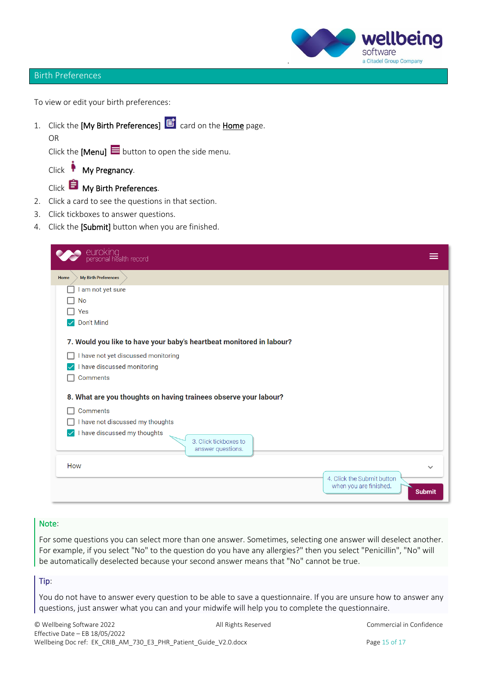### wellbeing SOTTWARE a Citadel Group Company .

### Birth Preferences

To view or edit your birth preferences:

1. Click the [My Birth Preferences]  $\overrightarrow{E}$  card on the Home page.

OR

Click the [Menu]  $\blacksquare$  button to open the side menu.

Click My Pregnancy.

Click **My Birth Preferences**.

- 2. Click a card to see the questions in that section.
- 3. Click tickboxes to answer questions.
- 4. Click the [Submit] button when you are finished.

| euroking<br>personal health record                                   |               |
|----------------------------------------------------------------------|---------------|
| My Birth Preferences<br>Home                                         |               |
| am not yet sure                                                      |               |
| No                                                                   |               |
| Yes                                                                  |               |
| Don't Mind                                                           |               |
| 7. Would you like to have your baby's heartbeat monitored in labour? |               |
| I have not yet discussed monitoring                                  |               |
| I have discussed monitoring                                          |               |
| <b>Comments</b>                                                      |               |
|                                                                      |               |
| 8. What are you thoughts on having trainees observe your labour?     |               |
| <b>Comments</b>                                                      |               |
| I have not discussed my thoughts                                     |               |
| I have discussed my thoughts<br>$\backsim$<br>3. Click tickboxes to  |               |
| answer questions.                                                    |               |
| How                                                                  |               |
| 4. Click the Submit button                                           |               |
| when you are finished.                                               |               |
|                                                                      | <b>Submit</b> |

### Note:

For some questions you can select more than one answer. Sometimes, selecting one answer will deselect another. For example, if you select "No" to the question do you have any allergies?" then you select "Penicillin", "No" will be automatically deselected because your second answer means that "No" cannot be true.

### Tip:

You do not have to answer every question to be able to save a questionnaire. If you are unsure how to answer any questions, just answer what you can and your midwife will help you to complete the questionnaire.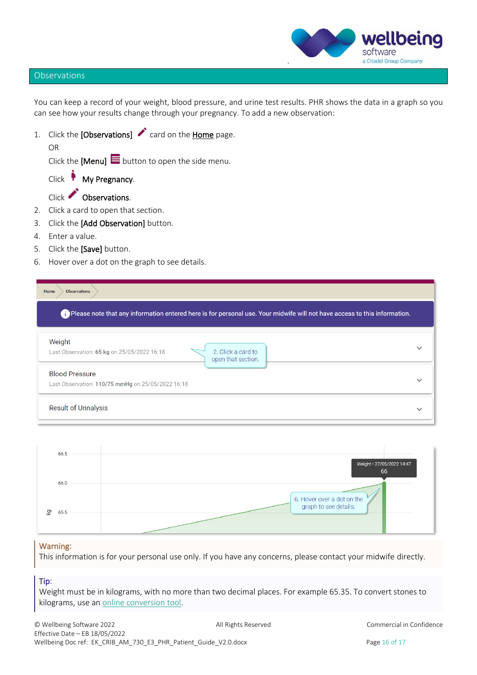

### **Observations**

OR

You can keep a record of your weight, blood pressure, and urine test results. PHR shows the data in a graph so you can see how your results change through your pregnancy. To add a new observation:

1. Click the [Observations]  $\bullet$  card on the Home page.

Click the [Menu]  $\blacksquare$  button to open the side menu.

Click My Pregnancy.

Click Observations.

- 2. Click a card to open that section.
- 3. Click the [Add Observation] button.
- 4. Enter a value.
- 5. Click the [Save] button.
- 6. Hover over a dot on the graph to see details.

|                                                                            | Please note that any information entered here is for personal use. Your midwife will not have access to this information. |              |
|----------------------------------------------------------------------------|---------------------------------------------------------------------------------------------------------------------------|--------------|
| Weight<br>Last Observation: 65 kg on 25/05/2022 16:18                      | 2. Click a card to<br>open that section.                                                                                  | $\checkmark$ |
| <b>Blood Pressure</b><br>Last Observation: 110/75 mmHg on 25/05/2022 16:18 |                                                                                                                           |              |



### Warning:

This information is for your personal use only. If you have any concerns, please contact your midwife directly.

# Tip:

Weight must be in kilograms, with no more than two decimal places. For example 65.35. To convert stones to kilograms, use a[n online conversion tool.](https://www.metric-conversions.org/weight/stones-to-kilograms.htm)